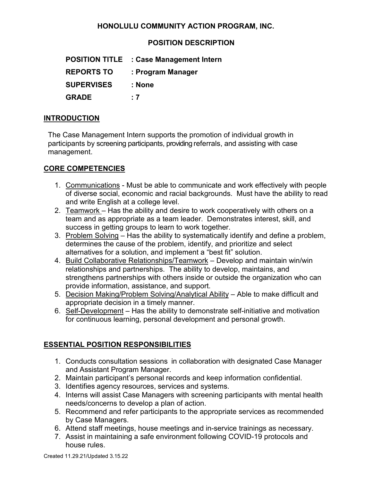# **HONOLULU COMMUNITY ACTION PROGRAM, INC.**

# **POSITION DESCRIPTION**

| <b>POSITION TITLE</b> | : Case Management Intern |
|-----------------------|--------------------------|
| <b>REPORTS TO</b>     | : Program Manager        |
| <b>SUPERVISES</b>     | : None                   |
| <b>GRADE</b>          | : 7                      |

#### **INTRODUCTION**

The Case Management Intern supports the promotion of individual growth in participants by screening participants, providing referrals, and assisting with case management.

### **CORE COMPETENCIES**

- 1. Communications Must be able to communicate and work effectively with people of diverse social, economic and racial backgrounds. Must have the ability to read and write English at a college level.
- 2. Teamwork Has the ability and desire to work cooperatively with others on a team and as appropriate as a team leader. Demonstrates interest, skill, and success in getting groups to learn to work together.
- 3. Problem Solving Has the ability to systematically identify and define a problem, determines the cause of the problem, identify, and prioritize and select alternatives for a solution, and implement a "best fit" solution.
- 4. Build Collaborative Relationships/Teamwork Develop and maintain win/win relationships and partnerships. The ability to develop, maintains, and strengthens partnerships with others inside or outside the organization who can provide information, assistance, and support.
- 5. Decision Making/Problem Solving/Analytical Ability Able to make difficult and appropriate decision in a timely manner.
- 6. Self-Development Has the ability to demonstrate self-initiative and motivation for continuous learning, personal development and personal growth.

# **ESSENTIAL POSITION RESPONSIBILITIES**

- 1. Conducts consultation sessions in collaboration with designated Case Manager and Assistant Program Manager.
- 2. Maintain participant's personal records and keep information confidential.
- 3. Identifies agency resources, services and systems.
- 4. Interns will assist Case Managers with screening participants with mental health needs/concerns to develop a plan of action.
- 5. Recommend and refer participants to the appropriate services as recommended by Case Managers.
- 6. Attend staff meetings, house meetings and in-service trainings as necessary.
- 7. Assist in maintaining a safe environment following COVID-19 protocols and house rules.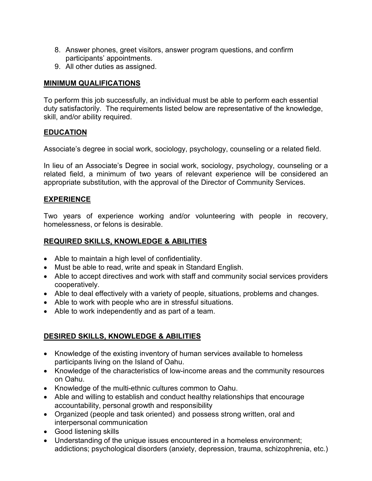- 8. Answer phones, greet visitors, answer program questions, and confirm participants' appointments.
- 9. All other duties as assigned.

### **MINIMUM QUALIFICATIONS**

To perform this job successfully, an individual must be able to perform each essential duty satisfactorily. The requirements listed below are representative of the knowledge, skill, and/or ability required.

### **EDUCATION**

Associate's degree in social work, sociology, psychology, counseling or a related field.

In lieu of an Associate's Degree in social work, sociology, psychology, counseling or a related field, a minimum of two years of relevant experience will be considered an appropriate substitution, with the approval of the Director of Community Services.

#### **EXPERIENCE**

Two years of experience working and/or volunteering with people in recovery, homelessness, or felons is desirable.

## **REQUIRED SKILLS, KNOWLEDGE & ABILITIES**

- Able to maintain a high level of confidentiality.
- Must be able to read, write and speak in Standard English.
- Able to accept directives and work with staff and community social services providers cooperatively.
- Able to deal effectively with a variety of people, situations, problems and changes.
- Able to work with people who are in stressful situations.
- Able to work independently and as part of a team.

# **DESIRED SKILLS, KNOWLEDGE & ABILITIES**

- Knowledge of the existing inventory of human services available to homeless participants living on the Island of Oahu.
- Knowledge of the characteristics of low-income areas and the community resources on Oahu.
- Knowledge of the multi-ethnic cultures common to Oahu.
- Able and willing to establish and conduct healthy relationships that encourage accountability, personal growth and responsibility
- Organized (people and task oriented) and possess strong written, oral and interpersonal communication
- Good listening skills
- Understanding of the unique issues encountered in a homeless environment; addictions; psychological disorders (anxiety, depression, trauma, schizophrenia, etc.)